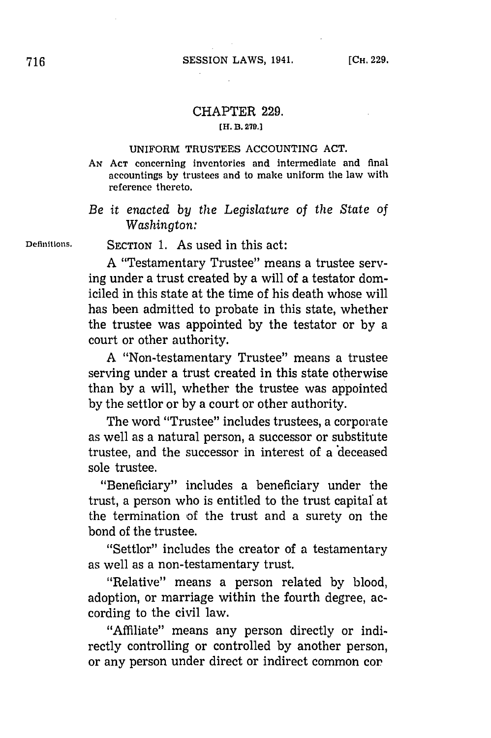## CHAPTER **229.**

## **[H. B. 279.]**

## **UNIFORM TRUSTEES ACCOUNTING ACT.**

Ax **ACT** concerning inventories and intermediate and final accountings by trustees and to make uniform the law with reference thereto.

*Be it enacted by the Legislature of the State of Washington:*

**Definitions. SECTION 1.** As used in this act:

**A** "Testamentary Trustee" means a trustee serving under a trust created **by** a will of a testator domiciled in this state at the time of his death whose will has been admitted to probate in this state, whether the trustee was appointed **by** the testator or **by** a court or other authority.

**A** "Non-testamentary Trustee" means a trustee serving under a trust created in this state otherwise than **by** a will, whether the trustee was appointed **by** the settlor or **by** a court or other authority.

The word "Trustee" includes trustees, a corporate as well as a natural person, a successor or substitute trustee, and the successor in interest of a 'deceased sole trustee.

"Beneficiary" includes a beneficiary under the trust, a person who is entitled to the trust capital at the termination of the trust and a surety on the bond of the trustee.

"Settlor" includes the creator of a testamentary as well as a non-testamentary trust.

"Relative" means a person related **by** blood, adoption, or marriage within the fourth degree, according to the civil law.

"Affiliate" means any person directly or indirectly controlling or controlled **by** another person, or any person under direct or indirect common cor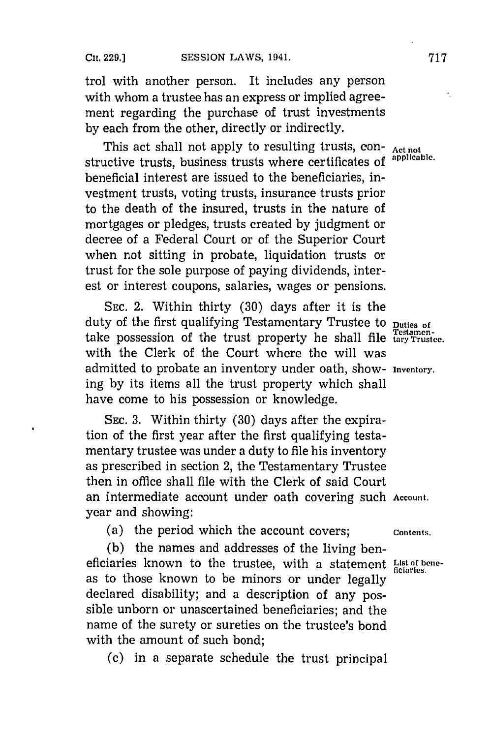$\blacksquare$ 

trol with another person. It includes any person with whom a trustee has an express or implied agreement regarding the purchase of trust investments **by** each from the other, directly or indirectly.

This act shall not apply to resulting trusts, con-<br>
usting trusts, business trusts whome contificates of applicable. structive trusts, business trusts where certificates of beneficial interest are issued to the beneficiaries, investment trusts, voting trusts, insurance trusts prior to the death of the insured, trusts in the nature of mortgages or pledges, trusts created **by** judgment or decree of a Federal Court or of the Superior Court when not sitting in probate, liquidation trusts or trust for the sole purpose of paying dividends, interest or interest coupons, salaries, wages or pensions.

**SEC.** 2. Within thirty **(30)** days after it is the duty of the first qualifying Testamentary Trustee to **Duties of** take possession of the trust property he shall file **tary Trustee.** with the Clerk of the Court where the will was admitted to probate an inventory under oath, show- **Inventory.** ing **by** its items all the trust property which shall have come to his possession or knowledge.

**SEC. 3.** Within thirty **(30)** days after the expiration of the first year after the first qualifying testamentary trustee was under a duty to file his inventory as prescribed in section 2, the Testamentary Trustee then in office shall file with the Clerk of said Court an intermediate account under oath covering such **Account.** year and showing:

(a) the period which the account covers; contents.

**(b)** the names and addresses of the living beneficiaries known to the trustee, with a statement List of beneas to those known to be minors or under legally declared disability; and a description of any possible unborn or unascertained beneficiaries; and the name of the surety or sureties on the trustee's bond with the amount of such bond;

**(c)** in a separate schedule the trust principal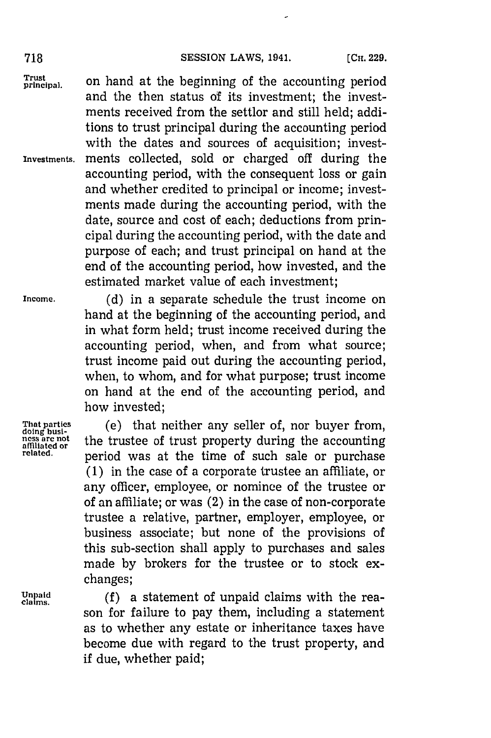Trust on hand at the beginning of the accounting period and the then status of its investment; the investments received from the settlor and still held; additions to trust principal during the accounting period with the dates and sources of acquisition; invest-**Investments.** ments collected, sold or charged off during the accounting period, with the consequent loss or gain and whether credited to principal or income; investments made during the accounting period, with the date, source and cost of each; deductions from principal during the accounting period, with the date and purpose of each; and trust principal on hand at the end of the accounting period, how invested, and the estimated market value of each investment;

**Income. (d)** in a separate schedule the trust income on hand at the beginning of the accounting period, and in what form held; trust income received during the accounting period, when, and from what source; trust income paid out during the accounting period, when, to whom, and for what purpose; trust income on hand at the end of the accounting period, and how invested;

That parties (e) that neither any seller of, nor buyer from,<br>ness are not the trustee of trust property during the accounting<br>affiliated or period was at the time of such sale or purchase **(1)** in the case of a corporate trustee an affiliate, or any officer, employee, or nominee of the trustee or of an affiliate; or was (2) in the case of non-corporate trustee a relative, partner, employer, employee, or business associate; but none of the provisions of this sub-section shall apply to purchases and sales made **by** brokers for the trustee or to stock exchanges;

*Chaid* (f) a statement of unpaid claims with the reason for failure to pay them, including a statement as to whether any estate or inheritance taxes have become due with regard to the trust property, and if due, whether paid;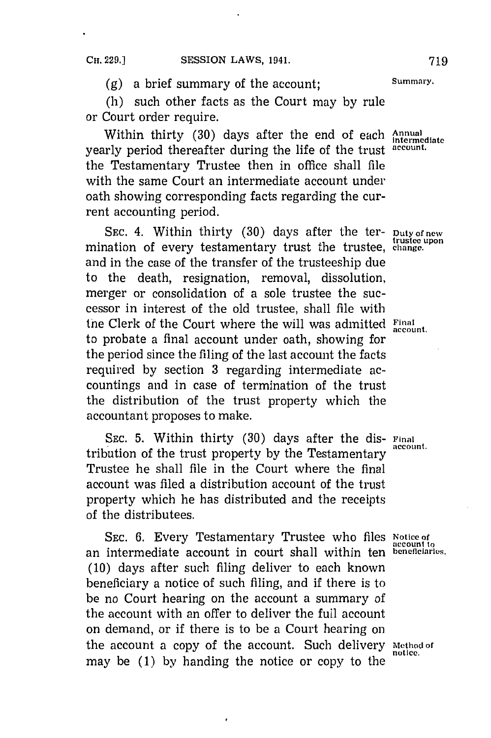**(g)** a brief summary of the account; **Summary.**

(h) such other facts as the Court may **by** rule or Court order require.

Within thirty (30) days after the end of each *Annual intermediate* vearly period thereafter during the life of the trust account. the Testamentary Trustee then in office shall file with the same Court an intermediate account under oath showing corresponding facts regarding the current accounting period.

SEC. 4. Within thirty (30) days after the ter- **Duty of new** mination of every testamentary trust the trustee, change. and in the case of the transfer of the trusteeship due to the death, resignation, removal, dissolution, merger or consolidation of a sole trustee the successor in interest of the old trustee, shall file with tne Clerk of the Court where the will was admitted **Final** to probate a final account under oath, showing for the period since the filing of the last account the facts required **by** section **3** regarding intermediate accountings and in case of termination of the trust the distribution of the trust property which the accountant proposes to make.

SEC. 5. Within thirty (30) days after the dis- **Final** account. tribution of the trust property by the Testamentary Trustee he shall file in the Court where the final account was filed a distribution account of the trust property which he has distributed and the receipts of the distributees.

**SEC. 6.** Every Testamentary Trustee who files **Notice of** an intermediate account in court shall within ten **beneficiaries. (10)** days after such filing deliver to each known beneficiary a notice of such filing, and if there is to be no Court hearing on the account a summary of the account with an offer to deliver the full account on demand, or if there is to be a Court hearing on the account a copy of the account. Such delivery **Method of** may be **(1) by** handing the notice or copy to the

**accnunt to**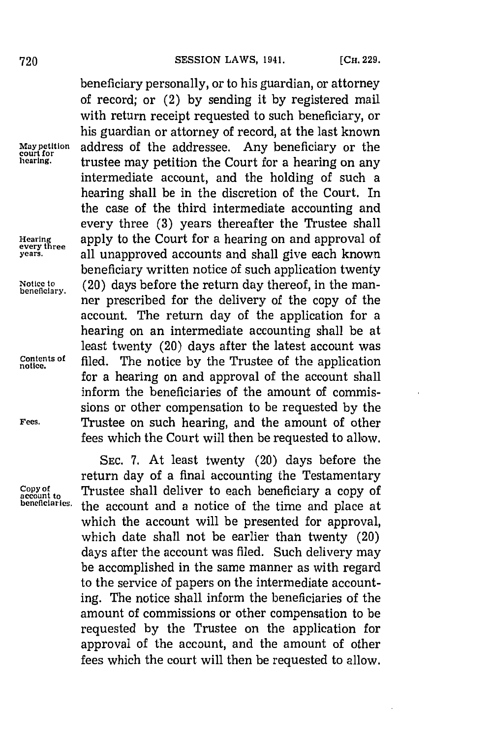beneficiary personally, or to his guardian, or attorney of record; or (2) **by** sending it **by** registered mail with return receipt requested to such beneficiary, or his guardian or attorney of record, at the last known address of the addressee. Any beneficiary or the **May petition**<br>court for<br>hearing. **hearing,** trustee may petition the Court for a hearing on any intermediate account, and the holding of such a hearing shall be in the discretion of the Court. In the case of the third intermediate accounting and every three **(3)** years thereafter the Trustee shall Hearing apply to the Court for a hearing on and approval of every three **years.** all unapproved accounts and shall give each known beneficiary written notice of such application twenty Notice to (20) days before the return day thereof, in the manher prescribed for the delivery of the copy of the account. The return day of the application for a hearing on an intermediate accounting shall be at least twenty (20) days after the latest account was **Contents of** filed. The notice by the Trustee of the application for a hearing on and approval of the account shall inform the beneficiaries of the amount of commissions or other compensation to be requested **by** the **Fees.** Trustee on such hearing, and the amount of other fees which the Court will then be requested to allow.

**SEC. 7.** At least twenty (20) days before the return day of a final accounting the Testamentary Copy of Trustee shall deliver to each beneficiary a copy of account to **contract the contract of** the time and place at the account and a notice of the time and place at which the account will be presented for approval, which date shall not be earlier than twenty (20) days after the account was filed. Such delivery may be accomplished in the same manner as with regard to the service of papers on the intermediate accounting. The notice shall inform the beneficiaries of the amount of commissions or other compensation to be requested **by** the Trustee on the application for approval of the account, and the amount of other fees which the court will then be requested to allow.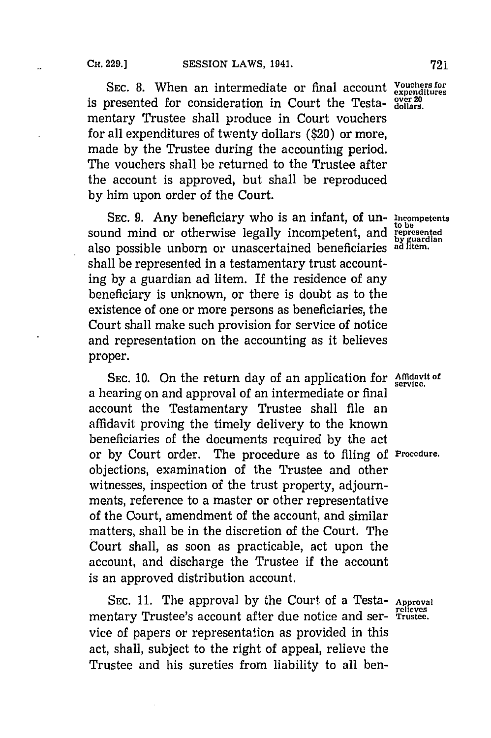SEC. 8. When an intermediate or final account **Vouchers** for **over 20** is presented for consideration in Court the Testa- **dollars.** mentary Trustee shall produce in Court vouchers for all expenditures of twenty dollars (\$20) or more, made **by** the Trustee during the accounting period. The vouchers shall be returned to the Trustee after the account is approved, but shall be reproduced **by** him upon order of the Court.

**SEC. 9.** Any beneficiary who is an infant, of un- **Incompetents~** sound mind or otherwise legally incompetent, and **represented** also possible unborn or unascertained beneficiaries **ad Ftemn.** shall be represented in a testamentary trust accounting **by** a guardian ad litem. If the residence of any beneficiary is unknown, or there is doubt as to the existence of one or more persons as beneficiaries, the Court shall make such provision for service of notice and representation on the accounting as it believes proper.

SEC. 10. On the return day of an application for **Affidavit of** a hearing on and approval of an intermediate or final account the Testamentary Trustee shall file an affidavit proving the timely delivery to the known beneficiaries of the documents required **by** the act or **by** Court order. The procedure as to filing **of Procedure.** objections, examination of the Trustee and other witnesses, inspection of the trust property, adjournments, reference to a master or other representative of the Court, amendment of the account, and similar matters, shall be in the discretion of the Court. The Court shall, as soon as practicable, act upon the account, and discharge the Trustee if the account is an approved distribution account.

SEC. 11. The approval by the Court of a Testa- Approv mentary Trustee's account after due notice and ser- **Trustee.** vice of papers or representation as provided in this act, shall, subject to the right of appeal, relieve the Trustee and his sureties from liability to all ben-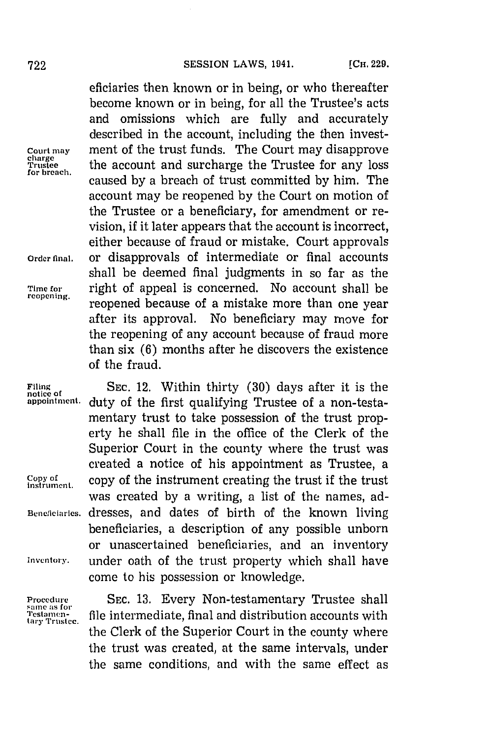eficiaries then known or in being, or who thereafter become known or in being, for all the Trustee's acts and omissions which are fully and accurately described in the account, including the then invest-Court may some ment of the trust funds. The Court may disapprove<br><sup>charge</sup> the account and surcharge the Trustee for any loss Enarge the account and surcharge the Trustee for any loss for breach. forbrech.caused **by** a breach of trust committed **by** him. The account may be reopened **by** the Court on motion of the Trustee or a beneficiary, for amendment or revision, if it later appears that the account is incorrect, either because of fraud or mistake. Court approvals **Order final,** or disapprovals of intermediate or final accounts shall be deemed final judgments in so far as the Time for **right of appeal is concerned.** No account shall be reprening. reopened because of a mistake more than one year after its approval. No beneficiary may move for the reopening of any account because of fraud more than six **(6)** months after he discovers the existence of the fraud.

**Filing SEC.** 12. Within thirty **(30)** days after it is the duty of the first qualifying Trustee of a non-testamentary trust to take possession of the trust property he shall file in the office of the Clerk of the Superior Court in the county where the trust was created a notice of his appointment as Trustee, a Copy of<br>instrument. **copy of the instrument creating the trust if the trust** was created **by** a writing, a list of the names, ad-**Beneficiaries,** dresses, and dates of birth of the known living beneficiaries, a description of any possible unborn or unascertained beneficiaries, and an inventory **Inventory~.** under oath of the trust property which shall have come to his possession or knowledge.

**same as for<br>Testamentary Trustee.**

**Procedure SEC. 13.** Every Non-testamentary Trustee shall file intermediate, final and distribution accounts with the Clerk of the Superior Court in the county where the trust was created, at the same intervals, under the same conditions, and with the same effect as

**notice of**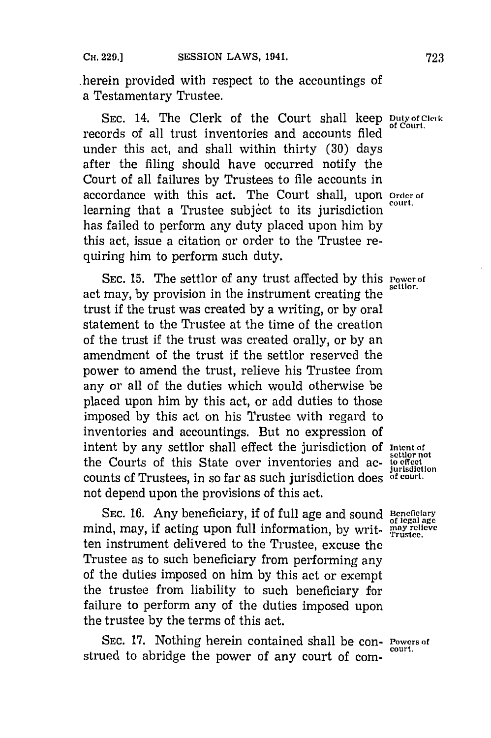herein provided with respect to the accountings of a Testamentary Trustee.

SEC. 14. The Clerk of the Court shall keep **Duty of Clerk** records of all trust inventories and accounts filed under this act, and shall within thirty **(30)** days after the filing should have occurred notify the Court of all failures **by** Trustees to file accounts in accordance with this act. The Court shall, upon **order** of learning that a Trustee subject to its jurisdiction has failed to perform any duty placed upon him **by** this act, issue a citation or order to the Trustee requiring him to perform such duty.

**SEC. 15.** The settlor of any trust affected **by** this **Power of** act may, by provision in the instrument creating the trust if the trust was created **by** a writing, or **by** oral statement to the Trustee at the time of the creation of the trust if the trust was created orally, or **by** an amendment of the trust **if** the settlor reserved the power to amend the trust, relieve his Trustee from any or all of the duties which would otherwise be placed upon him **by** this act, or add duties to those imposed **by** this act on his Trustee with regard to inventories and accountings. But no expression of intent by any settlor shall effect the jurisdiction of *Intent of* settler not the Courts of this State over inventories and ac- **be effect** counts of Trustees, in so far as such jurisdiction does **of court.** not depend upon the provisions of this act.

SEC. 16. Any beneficiary, if of full age and sound **Beneficiary** mind, may, if acting upon full information, by writ- **may relieve** ten instrument delivered to the Trustee, excuse the Trustee as to such beneficiary from performing any of the duties imposed on him **by** this act or exempt the trustee from liability to such beneficiary for failure to perform any of the duties imposed upon the trustee **by** the terms of this act.

SEC. 17. Nothing herein contained shall be con- **Powers of** strued to abridge the power of any court of com-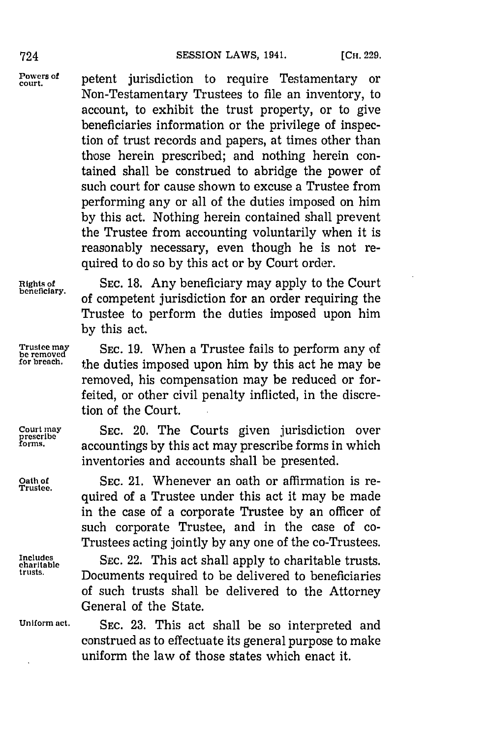Powers of petent jurisdiction to require Testamentary or Non-Testamentary Trustees to file an inventory, to account, to exhibit the trust property, or to give beneficiaries information or the privilege of inspection of trust records and papers, at times other than those herein prescribed; and nothing herein contained shall be construed to abridge the power of such court for cause shown to excuse a Trustee from performing any or all of the duties imposed on him **by** this act. Nothing herein contained shall prevent the Trustee from accounting voluntarily when it is reasonably necessary, even though he is not required to do so **by** this act or **by** Court order.

**Right; of SEC. 18.** Any beneficiary may apply to the Court of competent jurisdiction for an order requiring the Trustee to perform the duties imposed upon him **by** this act.

**Trustee may SEC. 19.** When a Trustee fails to perform any of **be removed for breach,** the duties imposed upon him **by** this act he may be removed, his compensation may be reduced or forfeited, or other civil penalty inflicted, in the discretion of the Court.

**Court may SEC.** 20. The Courts given jurisdiction over **prescribe forms,** accountings **by** this act may prescribe forms in which inventories and accounts shall be presented.

> SEC. 21. Whenever an oath or affirmation is required of a Trustee under this act it may be made in the case of a corporate Trustee **by** an officer of such corporate Trustee, and in the case of co-Trustees acting jointly **by** any one of the co-Trustees.

Includes **SEC. 22. This act shall apply to charitable trusts.**<br> **Contribution**<br> **Contribution**<br> **Contribution** Documents required to be delivered to beneficiaries of such trusts shall be delivered to the Attorney General of the State.

**Uniform act. SEC. 23.** This act shall be so interpreted and construed as to effectuate its general purpose to make uniform the law of those states which enact it.

**Trustee.**